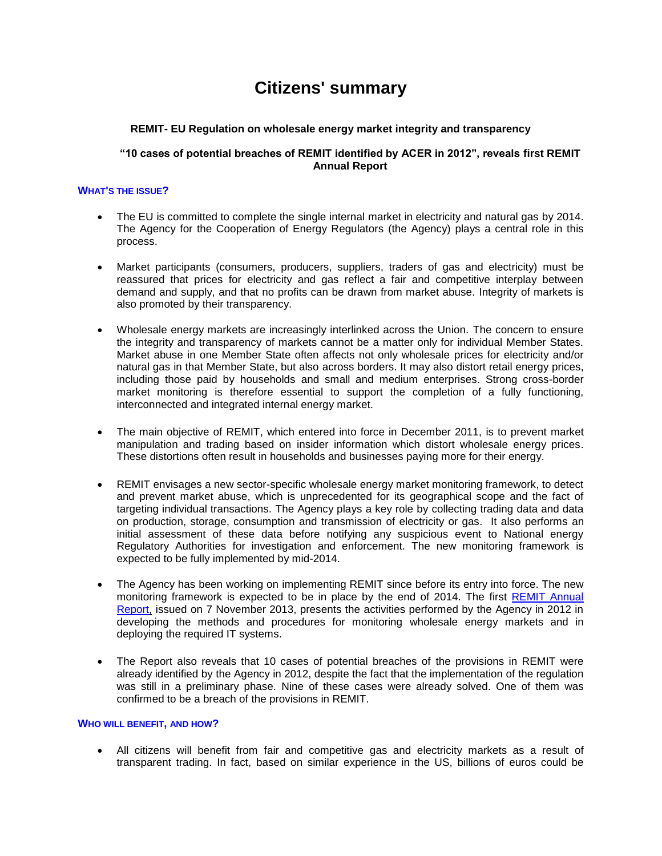# **Citizens' summary**

## **REMIT- EU Regulation on wholesale energy market integrity and transparency**

## **"10 cases of potential breaches of REMIT identified by ACER in 2012", reveals first REMIT Annual Report**

## **WHAT'S THE ISSUE?**

- The EU is committed to complete the single internal market in electricity and natural gas by 2014. The Agency for the Cooperation of Energy Regulators (the Agency) plays a central role in this process.
- Market participants (consumers, producers, suppliers, traders of gas and electricity) must be reassured that prices for electricity and gas reflect a fair and competitive interplay between demand and supply, and that no profits can be drawn from market abuse. Integrity of markets is also promoted by their transparency.
- Wholesale energy markets are increasingly interlinked across the Union. The concern to ensure the integrity and transparency of markets cannot be a matter only for individual Member States. Market abuse in one Member State often affects not only wholesale prices for electricity and/or natural gas in that Member State, but also across borders. It may also distort retail energy prices, including those paid by households and small and medium enterprises. Strong cross-border market monitoring is therefore essential to support the completion of a fully functioning, interconnected and integrated internal energy market.
- The main objective of REMIT, which entered into force in December 2011, is to prevent market manipulation and trading based on insider information which distort wholesale energy prices. These distortions often result in households and businesses paying more for their energy.
- REMIT envisages a new sector-specific wholesale energy market monitoring framework, to detect and prevent market abuse, which is unprecedented for its geographical scope and the fact of targeting individual transactions. The Agency plays a key role by collecting trading data and data on production, storage, consumption and transmission of electricity or gas. It also performs an initial assessment of these data before notifying any suspicious event to National energy Regulatory Authorities for investigation and enforcement. The new monitoring framework is expected to be fully implemented by mid-2014.
- The Agency has been working on implementing REMIT since before its entry into force. The new monitoring framework is expected to be in place by the end of 2014. The first [REMIT Annual](http://www.acer.europa.eu/Official_documents/Acts_of_the_Agency/Publication/REMIT%20Annual%20Report%202013.pdf)  [Report,](http://www.acer.europa.eu/Official_documents/Acts_of_the_Agency/Publication/REMIT%20Annual%20Report%202013.pdf) issued on 7 November 2013, presents the activities performed by the Agency in 2012 in developing the methods and procedures for monitoring wholesale energy markets and in deploying the required IT systems.
- The Report also reveals that 10 cases of potential breaches of the provisions in REMIT were already identified by the Agency in 2012, despite the fact that the implementation of the regulation was still in a preliminary phase. Nine of these cases were already solved. One of them was confirmed to be a breach of the provisions in REMIT.

#### **WHO WILL BENEFIT, AND HOW?**

 All citizens will benefit from fair and competitive gas and electricity markets as a result of transparent trading. In fact, based on similar experience in the US, billions of euros could be